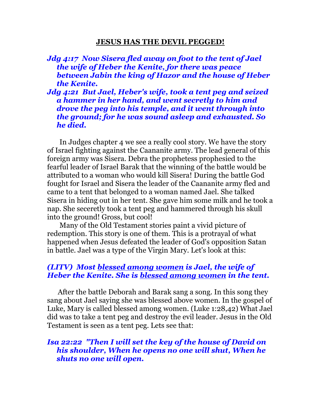#### **JESUS HAS THE DEVIL PEGGED!**

#### *Jdg 4:17 Now Sisera fled away on foot to the tent of Jael the wife of Heber the Kenite, for there was peace between Jabin the king of Hazor and the house of Heber the Kenite.*

*Jdg 4:21 But Jael, Heber's wife, took a tent peg and seized a hammer in her hand, and went secretly to him and drove the peg into his temple, and it went through into the ground; for he was sound asleep and exhausted. So he died.* 

 In Judges chapter 4 we see a really cool story. We have the story of Israel fighting against the Caananite army. The lead general of this foreign army was Sisera. Debra the prophetess prophesied to the fearful leader of Israel Barak that the winning of the battle would be attributed to a woman who would kill Sisera! During the battle God fought for Israel and Sisera the leader of the Caananite army fled and came to a tent that belonged to a woman named Jael. She talked Sisera in hiding out in her tent. She gave him some milk and he took a nap. She seceretly took a tent peg and hammered through his skull into the ground! Gross, but cool!

 Many of the Old Testament stories paint a vivid picture of redemption. This story is one of them. This is a protrayal of what happened when Jesus defeated the leader of God's opposition Satan in battle. Jael was a type of the Virgin Mary. Let's look at this:

#### *(LITV) Most blessed among women is Jael, the wife of Heber the Kenite. She is blessed among women in the tent.*

 After the battle Deborah and Barak sang a song. In this song they sang about Jael saying she was blessed above women. In the gospel of Luke, Mary is called blessed among women. (Luke 1:28,42) What Jael did was to take a tent peg and destroy the evil leader. Jesus in the Old Testament is seen as a tent peg. Lets see that:

# *Isa 22:22 "Then I will set the key of the house of David on his shoulder, When he opens no one will shut, When he shuts no one will open.*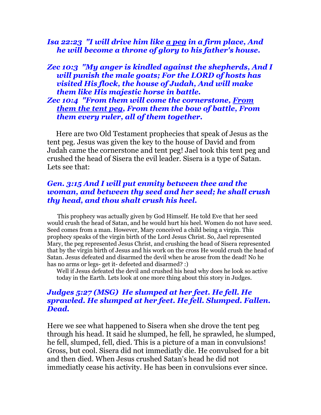## *Isa 22:23 "I will drive him like a peg in a firm place, And he will become a throne of glory to his father's house.*

#### *Zec 10:3 "My anger is kindled against the shepherds, And I will punish the male goats; For the LORD of hosts has visited His flock, the house of Judah, And will make them like His majestic horse in battle.*

## *Zec 10:4 "From them will come the cornerstone, From them the tent peg, From them the bow of battle, From them every ruler, all of them together.*

 Here are two Old Testament prophecies that speak of Jesus as the tent peg. Jesus was given the key to the house of David and from Judah came the cornerstone and tent peg! Jael took this tent peg and crushed the head of Sisera the evil leader. Sisera is a type of Satan. Lets see that:

## *Gen. 3:15 And I will put enmity between thee and the woman, and between thy seed and her seed; he shall crush thy head, and thou shalt crush his heel.*

 This prophecy was actually given by God Himself. He told Eve that her seed would crush the head of Satan, and he would hurt his heel. Women do not have seed. Seed comes from a man. However, Mary conceived a child being a virgin. This prophecy speaks of the virgin birth of the Lord Jesus Christ. So, Jael represented Mary, the peg represented Jesus Christ, and crushing the head of Sisera represented that by the virgin birth of Jesus and his work on the cross He would crush the head of Satan. Jesus defeated and disarmed the devil when he arose from the dead! No he has no arms or legs- get it- defeeted and disarmed? :)

Well if Jesus defeated the devil and crushed his head why does he look so active today in the Earth. Lets look at one more thing about this story in Judges.

## *Judges 5:27 (MSG) He slumped at her feet. He fell. He sprawled. He slumped at her feet. He fell. Slumped. Fallen. Dead.*

Here we see what happened to Sisera when she drove the tent peg through his head. It said he slumped, he fell, he sprawled, he slumped, he fell, slumped, fell, died. This is a picture of a man in convulsions! Gross, but cool. Sisera did not immediatly die. He convulsed for a bit and then died. When Jesus crushed Satan's head he did not immediatly cease his activity. He has been in convulsions ever since.